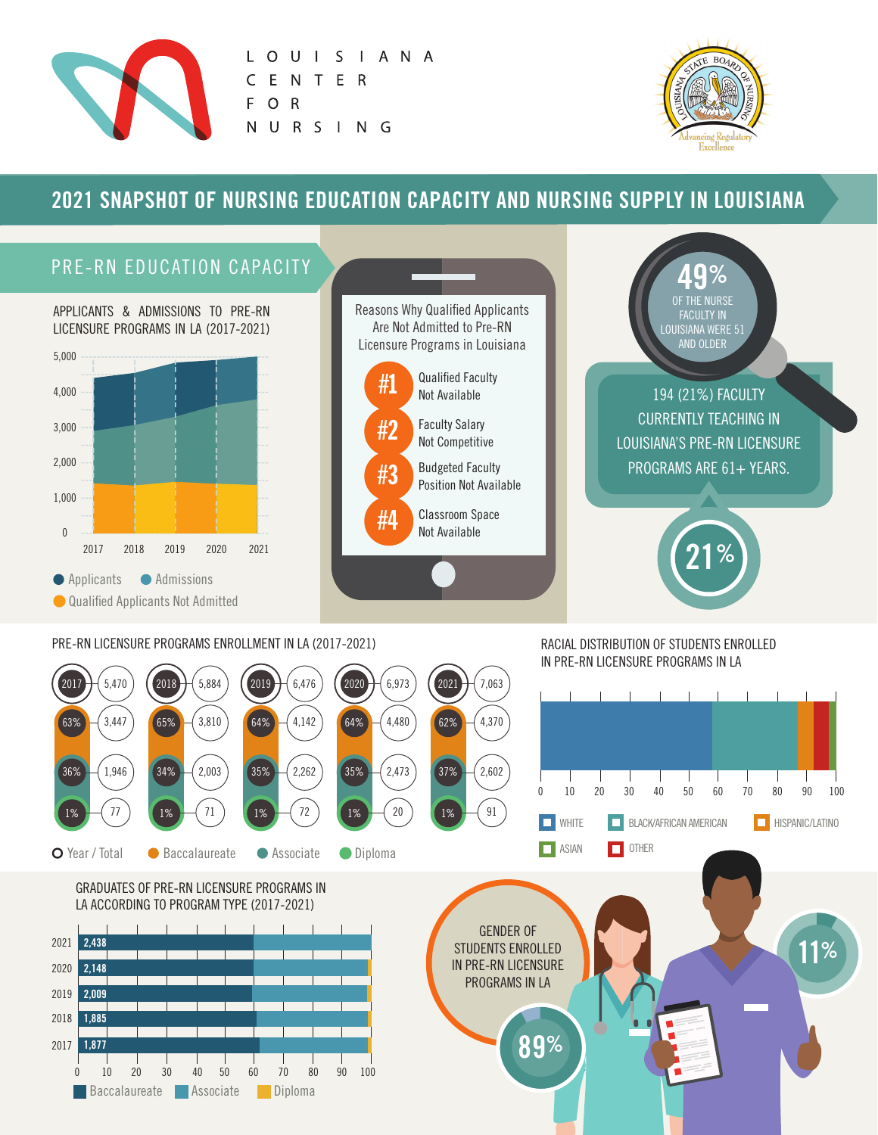

LOUISIANA T E R  $\mathsf{C}$ E  $\overline{N}$  $\mathsf{R}$ F  $\circ$ U R S I N G N.



# **2021 SNAPSHOT OF NURSING EDUCATION CAPACITY AND NURSING SUPPLY IN LOUISIANA**

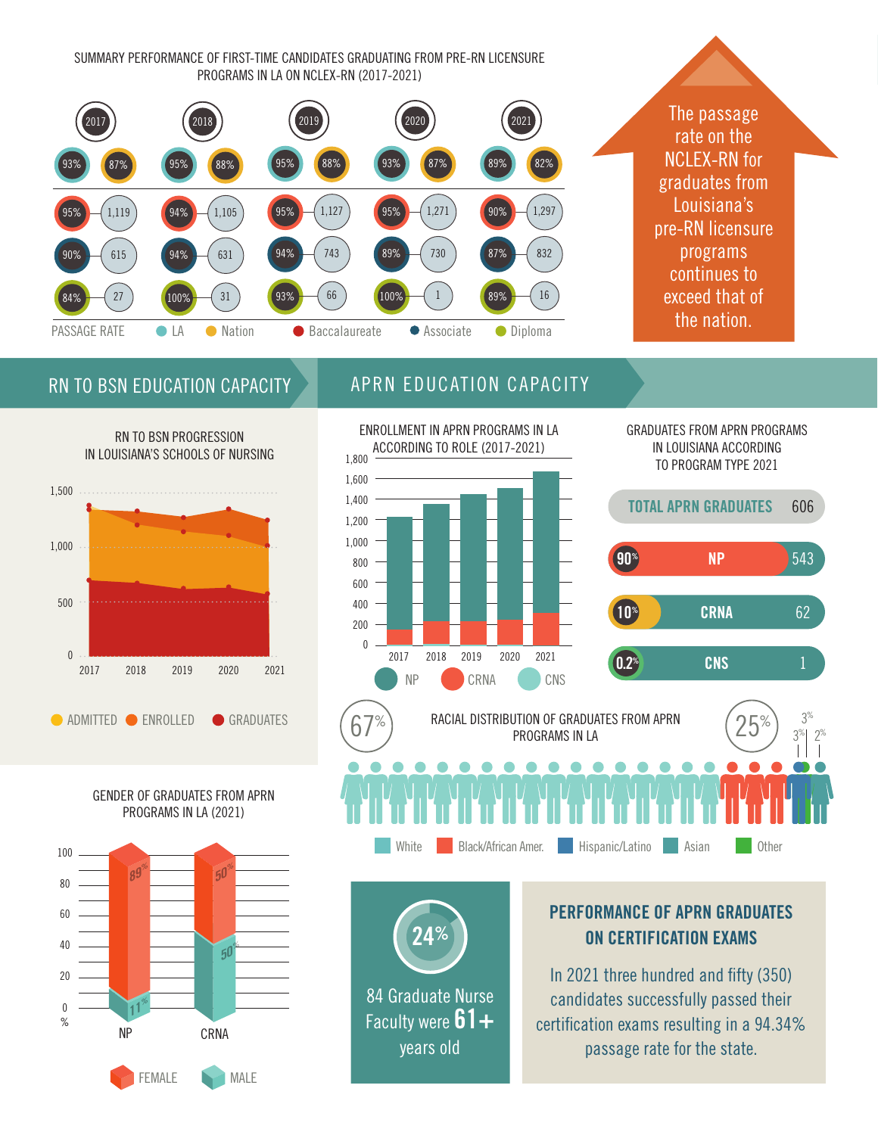SUMMARY PERFORMANCE OF FIRST-TIME CANDIDATES GRADUATING FROM PRE-RN LICENSURE PROGRAMS IN LA ON NCLEX-RN (2017-2021)



The passage rate on the NCLEX-RN for graduates from Louisiana's pre-RN licensure programs continues to exceed that of the nation.

## RN TO BSN EDUCATION CAPACITY



GENDER OF GRADUATES FROM APRN PROGRAMS IN LA (2021)



## APRN EDUCATION CAPACITY



84 Graduate Nurse Faculty were  $61+$ years old

**24%**

GRADUATES FROM APRN PROGRAMS IN LOUISIANA ACCORDING TO PROGRAM TYPE 2021



**PERFORMANCE OF APRN GRADUATES ON CERTIFICATION EXAMS** 

White Black/African Amer. Hispanic/Latino Asian Cher

In 2021 three hundred and fifty (350) candidates successfully passed their certification exams resulting in a 94.34% passage rate for the state.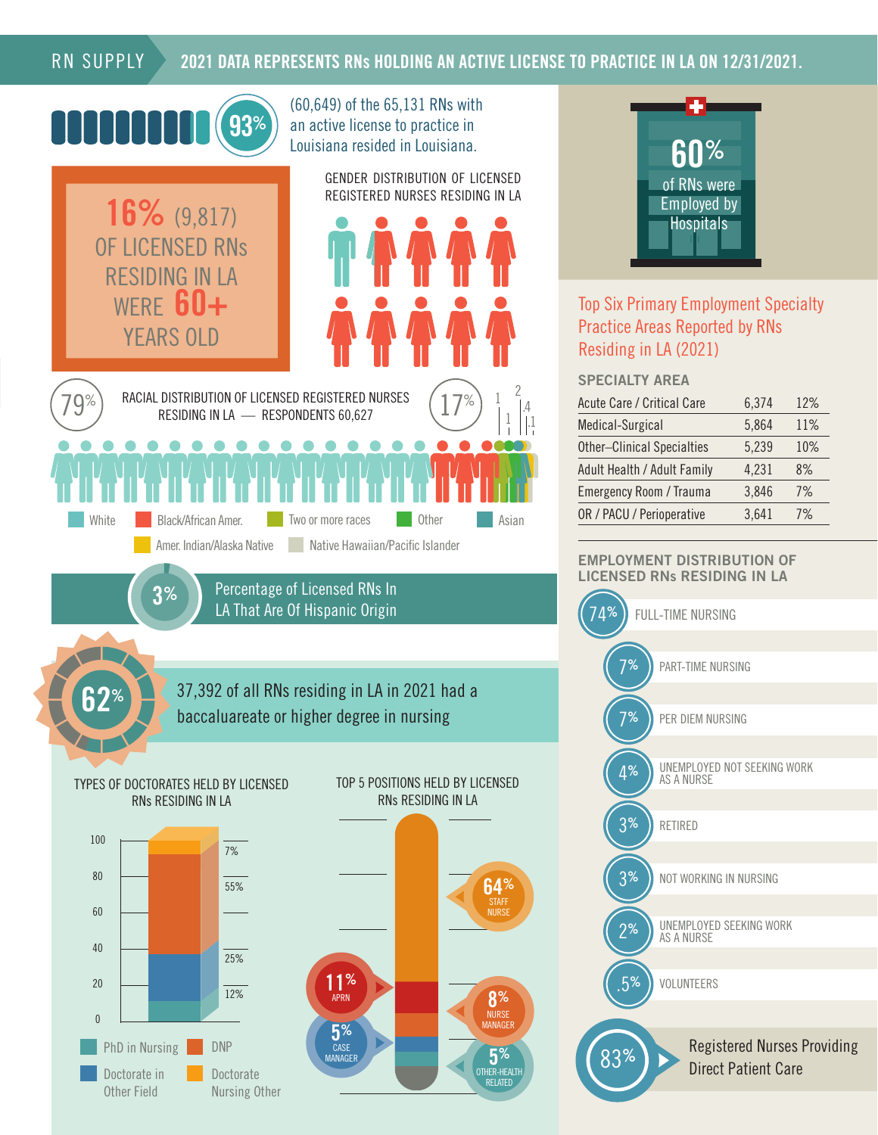### RN SUPPLY

### **2021 DATA REPRESENTS RNs HOLDING AN ACTIVE LICENSE TO PRACTICE IN LA ON 12/31/2021.**





### Top Six Primary Employment Specialty Practice Areas Reported by RNs Residing in LA (2021)

#### **SPECIALTY AREA**

.1

| <b>Acute Care / Critical Care</b> | 6,374 | 12% |
|-----------------------------------|-------|-----|
| Medical-Surgical                  | 5,864 | 11% |
| <b>Other-Clinical Specialties</b> | 5,239 | 10% |
| Adult Health / Adult Family       | 4,231 | 8%  |
| <b>Emergency Room / Trauma</b>    | 3,846 | 7%  |
| OR / PACU / Perioperative         | 3,641 | 7%  |

#### **EMPLOYMENT DISTRIBUTION OF LICENSED RNs RESIDING IN LA**